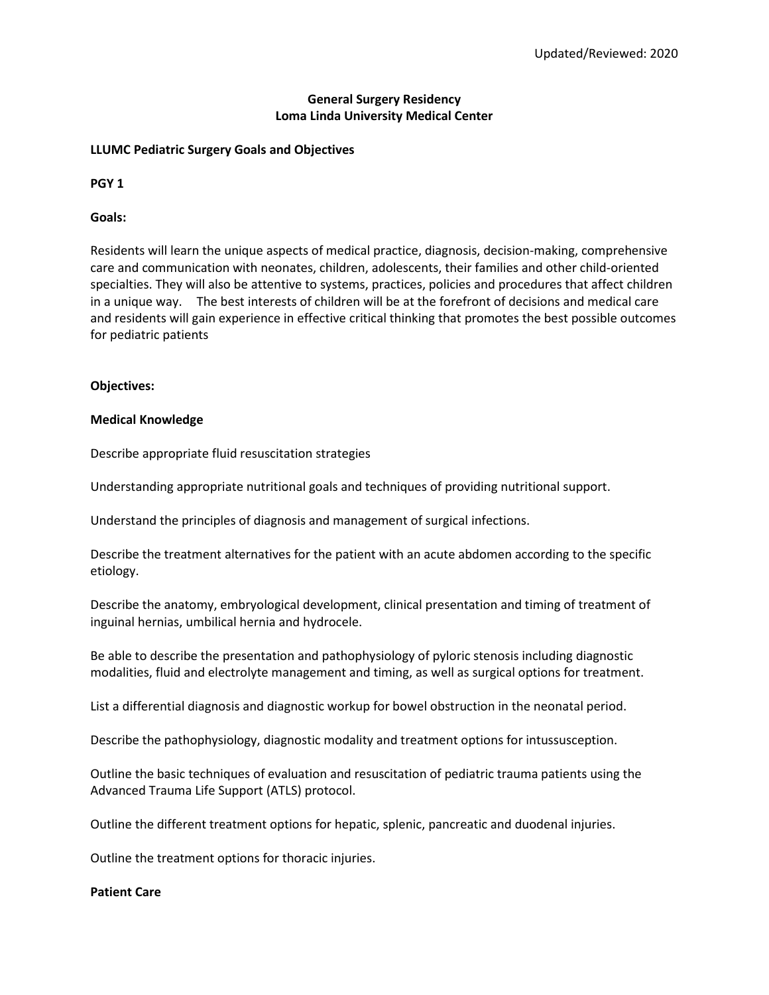# **General Surgery Residency Loma Linda University Medical Center**

# **LLUMC Pediatric Surgery Goals and Objectives**

**PGY 1**

**Goals:**

Residents will learn the unique aspects of medical practice, diagnosis, decision-making, comprehensive care and communication with neonates, children, adolescents, their families and other child-oriented specialties. They will also be attentive to systems, practices, policies and procedures that affect children in a unique way. The best interests of children will be at the forefront of decisions and medical care and residents will gain experience in effective critical thinking that promotes the best possible outcomes for pediatric patients

## **Objectives:**

## **Medical Knowledge**

Describe appropriate fluid resuscitation strategies

Understanding appropriate nutritional goals and techniques of providing nutritional support.

Understand the principles of diagnosis and management of surgical infections.

Describe the treatment alternatives for the patient with an acute abdomen according to the specific etiology.

Describe the anatomy, embryological development, clinical presentation and timing of treatment of inguinal hernias, umbilical hernia and hydrocele.

Be able to describe the presentation and pathophysiology of pyloric stenosis including diagnostic modalities, fluid and electrolyte management and timing, as well as surgical options for treatment.

List a differential diagnosis and diagnostic workup for bowel obstruction in the neonatal period.

Describe the pathophysiology, diagnostic modality and treatment options for intussusception.

Outline the basic techniques of evaluation and resuscitation of pediatric trauma patients using the Advanced Trauma Life Support (ATLS) protocol.

Outline the different treatment options for hepatic, splenic, pancreatic and duodenal injuries.

Outline the treatment options for thoracic injuries.

#### **Patient Care**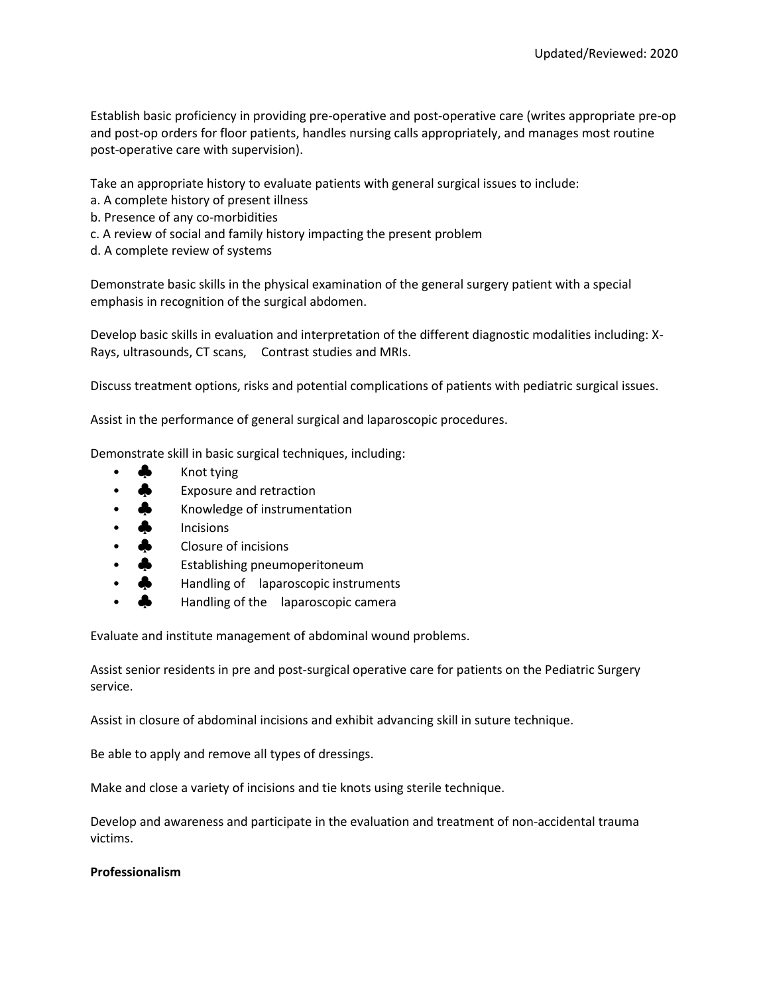Establish basic proficiency in providing pre-operative and post-operative care (writes appropriate pre-op and post-op orders for floor patients, handles nursing calls appropriately, and manages most routine post-operative care with supervision).

Take an appropriate history to evaluate patients with general surgical issues to include:

- a. A complete history of present illness
- b. Presence of any co-morbidities
- c. A review of social and family history impacting the present problem
- d. A complete review of systems

Demonstrate basic skills in the physical examination of the general surgery patient with a special emphasis in recognition of the surgical abdomen.

Develop basic skills in evaluation and interpretation of the different diagnostic modalities including: X-Rays, ultrasounds, CT scans, Contrast studies and MRIs.

Discuss treatment options, risks and potential complications of patients with pediatric surgical issues.

Assist in the performance of general surgical and laparoscopic procedures.

Demonstrate skill in basic surgical techniques, including:

- $\clubsuit$  Knot tying
- Exposure and retraction
- **•** Knowledge of instrumentation
- **A** Incisions
- **Closure of incisions**
- Establishing pneumoperitoneum
- Handling of laparoscopic instruments
- **Handling of the laparoscopic camera**

Evaluate and institute management of abdominal wound problems.

Assist senior residents in pre and post-surgical operative care for patients on the Pediatric Surgery service.

Assist in closure of abdominal incisions and exhibit advancing skill in suture technique.

Be able to apply and remove all types of dressings.

Make and close a variety of incisions and tie knots using sterile technique.

Develop and awareness and participate in the evaluation and treatment of non-accidental trauma victims.

# **Professionalism**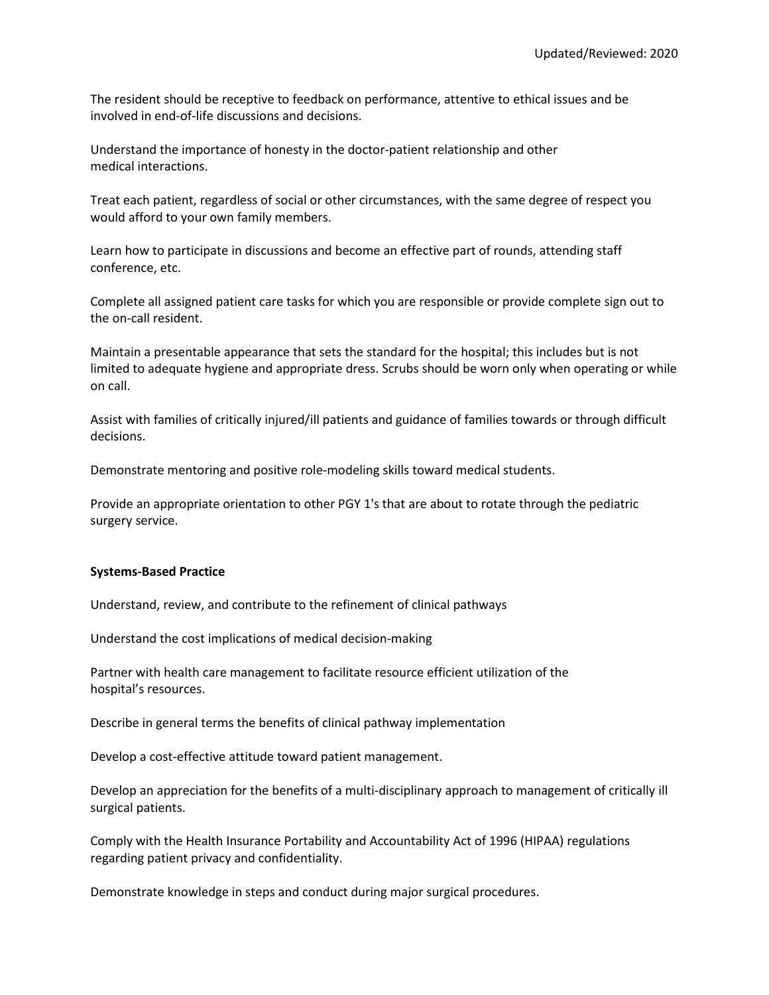The resident should be receptive to feedback on performance, attentive to ethical issues and be involved in end-of-life discussions and decisions.

Understand the importance of honesty in the doctor-patient relationship and other medical interactions.

Treat each patient, regardless of social or other circumstances, with the same degree of respect you would afford to your own family members.

Learn how to participate in discussions and become an effective part of rounds, attending staff conference, etc.

Complete all assigned patient care tasks for which you are responsible or provide complete sign out to the on-call resident.

Maintain a presentable appearance that sets the standard for the hospital; this includes but is not limited to adequate hygiene and appropriate dress. Scrubs should be worn only when operating or while on call.

Assist with families of critically injured/ill patients and guidance of families towards or through difficult decisions.

Demonstrate mentoring and positive role-modeling skills toward medical students.

Provide an appropriate orientation to other PGY 1's that are about to rotate through the pediatric surgery service.

#### **Systems-Based Practice**

Understand, review, and contribute to the refinement of clinical pathways

Understand the cost implications of medical decision-making

Partner with health care management to facilitate resource efficient utilization of the hospital's resources.

Describe in general terms the benefits of clinical pathway implementation

Develop a cost-effective attitude toward patient management.

Develop an appreciation for the benefits of a multi-disciplinary approach to management of critically ill surgical patients.

Comply with the Health Insurance Portability and Accountability Act of 1996 (HIPAA) regulations regarding patient privacy and confidentiality.

Demonstrate knowledge in steps and conduct during major surgical procedures.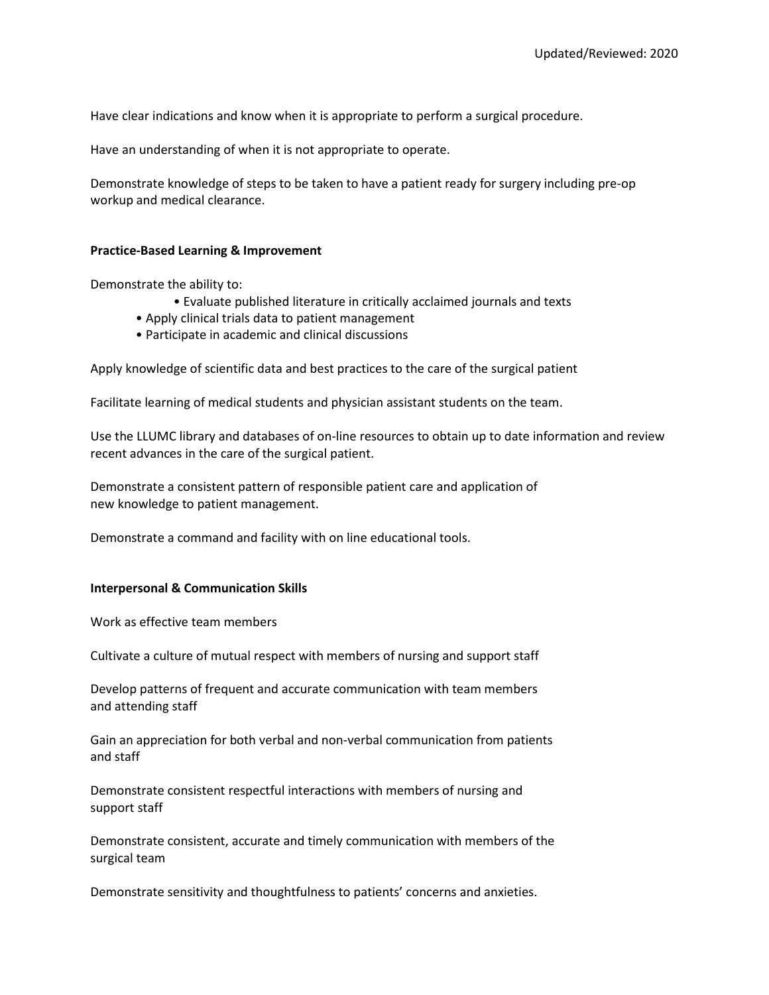Have clear indications and know when it is appropriate to perform a surgical procedure.

Have an understanding of when it is not appropriate to operate.

Demonstrate knowledge of steps to be taken to have a patient ready for surgery including pre-op workup and medical clearance.

## **Practice-Based Learning & Improvement**

Demonstrate the ability to:

- Evaluate published literature in critically acclaimed journals and texts
- Apply clinical trials data to patient management
- Participate in academic and clinical discussions

Apply knowledge of scientific data and best practices to the care of the surgical patient

Facilitate learning of medical students and physician assistant students on the team.

Use the LLUMC library and databases of on-line resources to obtain up to date information and review recent advances in the care of the surgical patient.

Demonstrate a consistent pattern of responsible patient care and application of new knowledge to patient management.

Demonstrate a command and facility with on line educational tools.

#### **Interpersonal & Communication Skills**

Work as effective team members

Cultivate a culture of mutual respect with members of nursing and support staff

Develop patterns of frequent and accurate communication with team members and attending staff

Gain an appreciation for both verbal and non-verbal communication from patients and staff

Demonstrate consistent respectful interactions with members of nursing and support staff

Demonstrate consistent, accurate and timely communication with members of the surgical team

Demonstrate sensitivity and thoughtfulness to patients' concerns and anxieties.